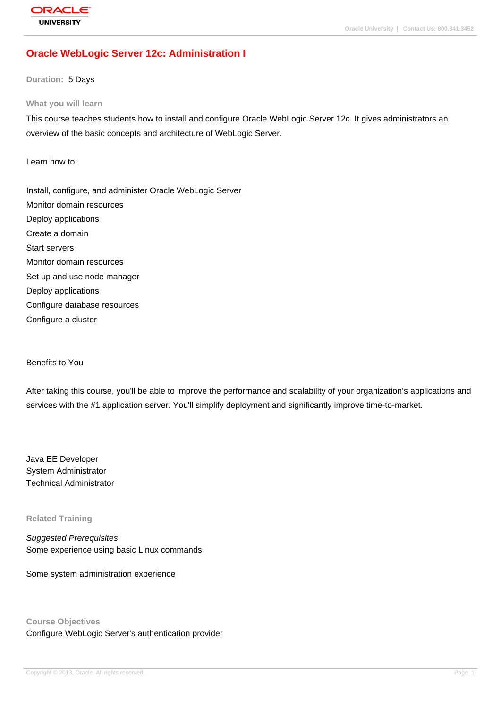# **[Oracle WebLog](http://education.oracle.com/pls/web_prod-plq-dad/db_pages.getpage?page_id=3)ic Server 12c: Administration I**

**Duration:** 5 Days

#### **What you will learn**

This course teaches students how to install and configure Oracle WebLogic Server 12c. It gives administrators an overview of the basic concepts and architecture of WebLogic Server.

Learn how to:

Install, configure, and administer Oracle WebLogic Server Monitor domain resources Deploy applications Create a domain Start servers Monitor domain resources Set up and use node manager Deploy applications Configure database resources Configure a cluster

Benefits to You

After taking this course, you'll be able to improve the performance and scalability of your organization's applications and services with the #1 application server. You'll simplify deployment and significantly improve time-to-market.

Java EE Developer System Administrator Technical Administrator

**Related Training**

Suggested Prerequisites Some experience using basic Linux commands

Some system administration experience

**Course Objectives** Configure WebLogic Server's authentication provider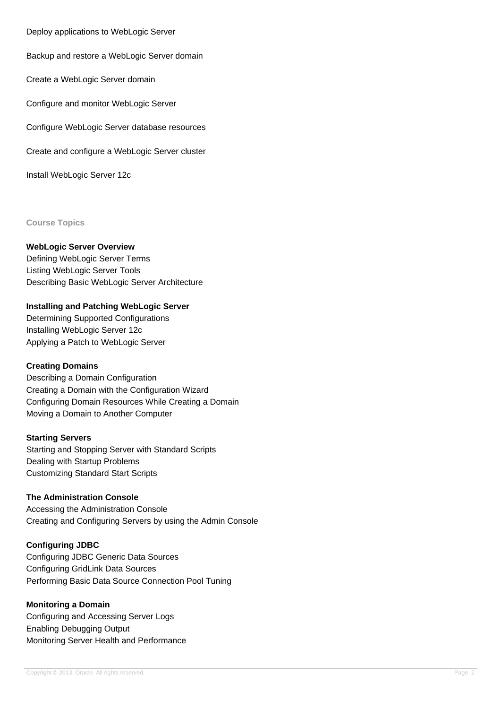Deploy applications to WebLogic Server

Backup and restore a WebLogic Server domain

Create a WebLogic Server domain

Configure and monitor WebLogic Server

Configure WebLogic Server database resources

Create and configure a WebLogic Server cluster

Install WebLogic Server 12c

**Course Topics**

#### **WebLogic Server Overview**

Defining WebLogic Server Terms Listing WebLogic Server Tools Describing Basic WebLogic Server Architecture

### **Installing and Patching WebLogic Server**

Determining Supported Configurations Installing WebLogic Server 12c Applying a Patch to WebLogic Server

#### **Creating Domains**

Describing a Domain Configuration Creating a Domain with the Configuration Wizard Configuring Domain Resources While Creating a Domain Moving a Domain to Another Computer

#### **Starting Servers**

Starting and Stopping Server with Standard Scripts Dealing with Startup Problems Customizing Standard Start Scripts

### **The Administration Console**

Accessing the Administration Console Creating and Configuring Servers by using the Admin Console

#### **Configuring JDBC**

Configuring JDBC Generic Data Sources Configuring GridLink Data Sources Performing Basic Data Source Connection Pool Tuning

#### **Monitoring a Domain**

Configuring and Accessing Server Logs Enabling Debugging Output Monitoring Server Health and Performance